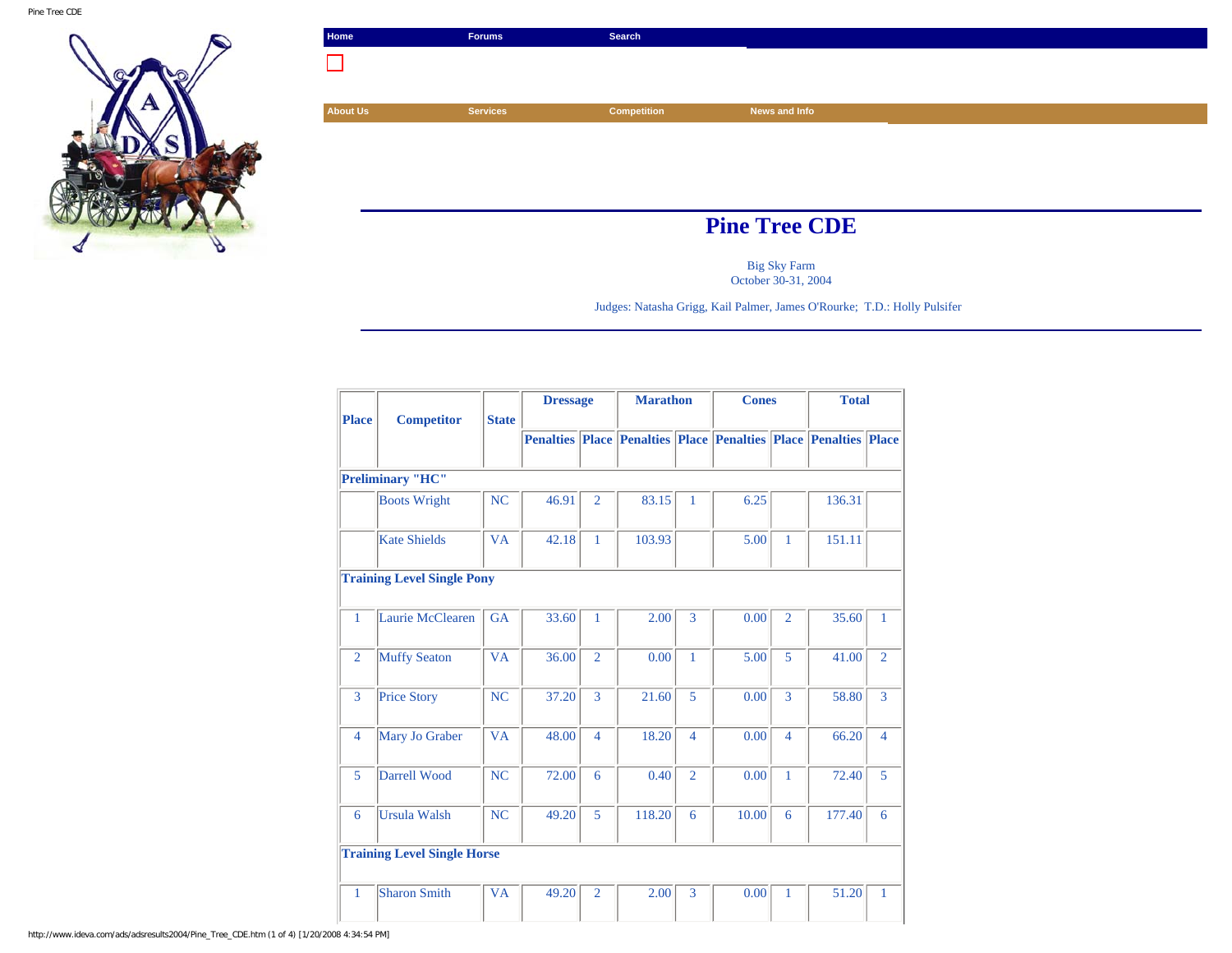

| Home                 | <b>Forums</b>   | Search             |               |  |
|----------------------|-----------------|--------------------|---------------|--|
|                      |                 |                    |               |  |
|                      |                 |                    |               |  |
| <b>About Us</b>      | <b>Services</b> | <b>Competition</b> | News and Info |  |
|                      |                 |                    |               |  |
|                      |                 |                    |               |  |
|                      |                 |                    |               |  |
|                      |                 |                    |               |  |
| <b>Pine Tree CDE</b> |                 |                    |               |  |

Big Sky Farm October 30-31, 2004

Judges: Natasha Grigg, Kail Palmer, James O'Rourke; T.D.: Holly Pulsifer

|                |                                    |              | <b>Dressage</b> |                | <b>Marathon</b> |                | <b>Cones</b>                                                           |                | <b>Total</b> |                |
|----------------|------------------------------------|--------------|-----------------|----------------|-----------------|----------------|------------------------------------------------------------------------|----------------|--------------|----------------|
| <b>Place</b>   | <b>Competitor</b>                  | <b>State</b> |                 |                |                 |                |                                                                        |                |              |                |
|                |                                    |              |                 |                |                 |                | <b>Penalties Place Penalties Place Penalties Place Penalties Place</b> |                |              |                |
|                |                                    |              |                 |                |                 |                |                                                                        |                |              |                |
|                | <b>Preliminary "HC"</b>            |              |                 |                |                 |                |                                                                        |                |              |                |
|                | <b>Boots Wright</b>                | <b>NC</b>    | 46.91           | $\overline{2}$ | 83.15           | 1              | 6.25                                                                   |                | 136.31       |                |
|                | <b>Kate Shields</b>                | <b>VA</b>    | 42.18           | 1              | 103.93          |                | 5.00                                                                   | 1              | 151.11       |                |
|                | <b>Training Level Single Pony</b>  |              |                 |                |                 |                |                                                                        |                |              |                |
| 1              | Laurie McClearen                   | <b>GA</b>    | 33.60           | $\mathbf{1}$   | 2.00            | 3              | 0.00                                                                   | $\overline{2}$ | 35.60        | 1              |
| $\overline{2}$ | <b>Muffy Seaton</b>                | <b>VA</b>    | 36.00           | $\overline{2}$ | 0.00            | $\mathbf{1}$   | 5.00                                                                   | 5              | 41.00        | $\overline{2}$ |
| 3              | <b>Price Story</b>                 | <b>NC</b>    | 37.20           | 3              | 21.60           | 5              | 0.00                                                                   | $\overline{3}$ | 58.80        | 3              |
| $\overline{4}$ | Mary Jo Graber                     | <b>VA</b>    | 48.00           | 4              | 18.20           | $\overline{4}$ | 0.00                                                                   | $\overline{4}$ | 66.20        | $\overline{4}$ |
| 5              | Darrell Wood                       | <b>NC</b>    | 72.00           | 6              | 0.40            | $\overline{2}$ | 0.00                                                                   | $\mathbf{1}$   | 72.40        | 5              |
| 6              | <b>Ursula Walsh</b>                | <b>NC</b>    | 49.20           | 5              | 118.20          | 6              | 10.00                                                                  | 6              | 177.40       | 6              |
|                | <b>Training Level Single Horse</b> |              |                 |                |                 |                |                                                                        |                |              |                |
| 1              | <b>Sharon Smith</b>                | <b>VA</b>    | 49.20           | $\overline{2}$ | 2.00            | 3              | 0.00                                                                   | 1              | 51.20        | 1              |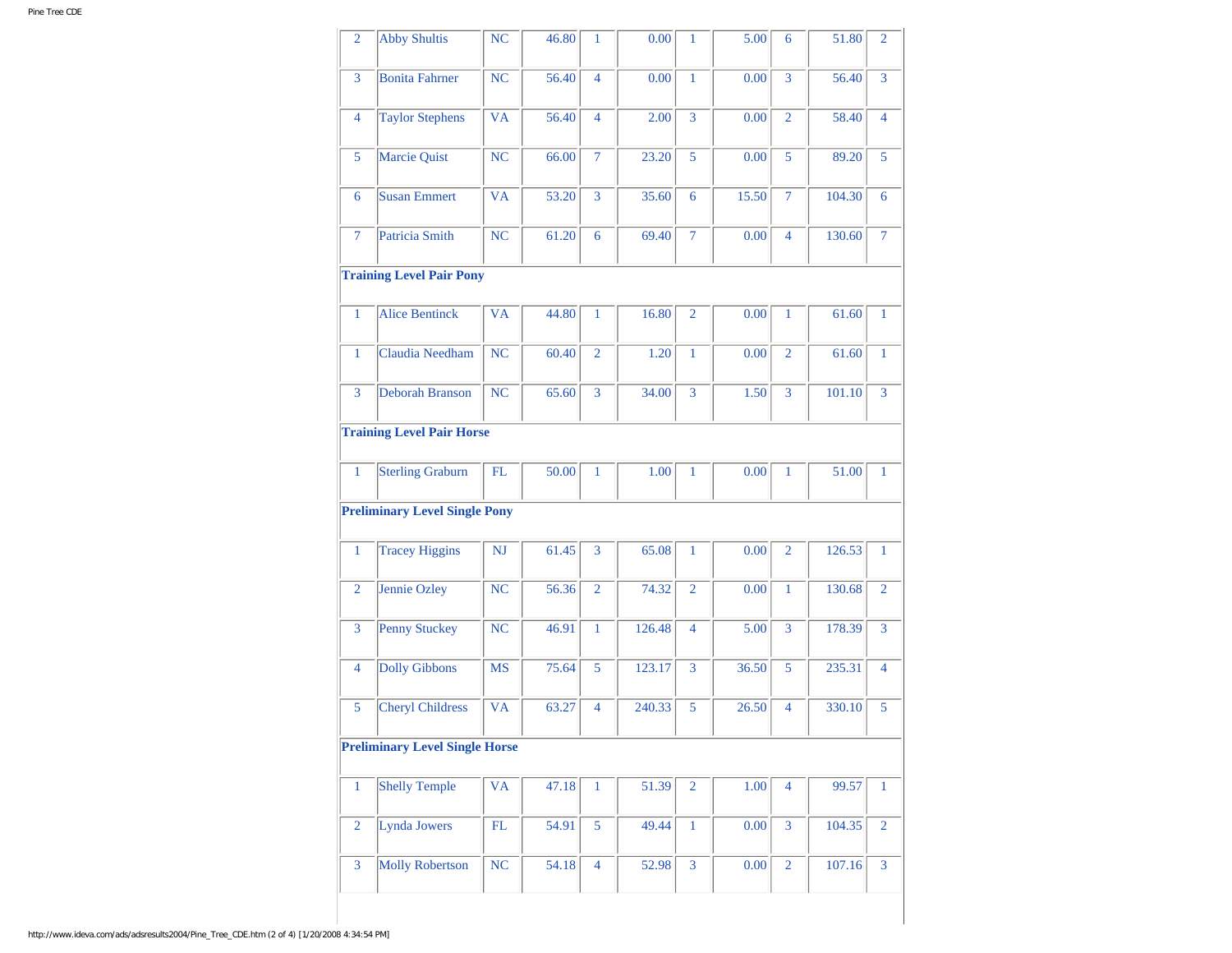| $\overline{2}$ | <b>Abby Shultis</b>                   | NC                         | 46.80 | $\mathbf{1}$   | 0.00   | 1              | 5.00  | 6              | 51.80  | $\overline{2}$ |
|----------------|---------------------------------------|----------------------------|-------|----------------|--------|----------------|-------|----------------|--------|----------------|
| 3              | <b>Bonita Fahrner</b>                 | NC                         | 56.40 | $\overline{4}$ | 0.00   | $\mathbf{1}$   | 0.00  | 3              | 56.40  | 3              |
| 4              | <b>Taylor Stephens</b>                | <b>VA</b>                  | 56.40 | $\overline{4}$ | 2.00   | $\overline{3}$ | 0.00  | $\overline{2}$ | 58.40  | $\overline{4}$ |
| 5              | Marcie Quist                          | <b>NC</b>                  | 66.00 | $\overline{7}$ | 23.20  | 5              | 0.00  | 5              | 89.20  | 5              |
| 6              | <b>Susan Emmert</b>                   | <b>VA</b>                  | 53.20 | 3              | 35.60  | 6              | 15.50 | $\overline{7}$ | 104.30 | 6              |
| $\tau$         | Patricia Smith                        | NC                         | 61.20 | 6              | 69.40  | $\overline{7}$ | 0.00  | $\overline{4}$ | 130.60 | $\overline{7}$ |
|                | <b>Training Level Pair Pony</b>       |                            |       |                |        |                |       |                |        |                |
| 1              | <b>Alice Bentinck</b>                 | <b>VA</b>                  | 44.80 | $\mathbf{1}$   | 16.80  | $\overline{2}$ | 0.00  | $\mathbf{1}$   | 61.60  | 1              |
| $\mathbf{1}$   | Claudia Needham                       | <b>NC</b>                  | 60.40 | $\overline{2}$ | 1.20   | $\mathbf{1}$   | 0.00  | $\overline{2}$ | 61.60  | $\mathbf{1}$   |
| $\overline{3}$ | <b>Deborah Branson</b>                | <b>NC</b>                  | 65.60 | 3              | 34.00  | 3              | 1.50  | 3              | 101.10 | $\overline{3}$ |
|                | <b>Training Level Pair Horse</b>      |                            |       |                |        |                |       |                |        |                |
| $\mathbf{1}$   | <b>Sterling Graburn</b>               | FL                         | 50.00 | $\mathbf{1}$   | 1.00   | 1              | 0.00  | 1              | 51.00  | 1              |
|                | <b>Preliminary Level Single Pony</b>  |                            |       |                |        |                |       |                |        |                |
| $\mathbf{1}$   | <b>Tracey Higgins</b>                 | NJ                         | 61.45 | 3              | 65.08  | $\mathbf{1}$   | 0.00  | $\overline{2}$ | 126.53 | 1              |
| $\overline{2}$ | Jennie Ozley                          | NC                         | 56.36 | $\overline{2}$ | 74.32  | $\overline{2}$ | 0.00  | $\mathbf{1}$   | 130.68 | $\overline{2}$ |
| 3              | <b>Penny Stuckey</b>                  | NC                         | 46.91 | $\mathbf{1}$   | 126.48 | $\overline{4}$ | 5.00  | $\overline{3}$ | 178.39 | 3              |
| 4              | <b>Dolly Gibbons</b>                  | MS                         | 75.64 | 5              | 123.17 | 3              | 36.50 | 5              | 235.31 | $\overline{4}$ |
| 5              | <b>Cheryl Childress</b>               | <b>VA</b>                  | 63.27 | $\overline{4}$ | 240.33 | 5              | 26.50 | $\overline{4}$ | 330.10 | 5              |
|                | <b>Preliminary Level Single Horse</b> |                            |       |                |        |                |       |                |        |                |
| $\mathbf{1}$   | <b>Shelly Temple</b>                  | <b>VA</b>                  | 47.18 | $\mathbf{1}$   | 51.39  | $\overline{2}$ | 1.00  | $\overline{4}$ | 99.57  | $\mathbf{1}$   |
| $\overline{2}$ | Lynda Jowers                          | $\mathop{\rm FL}\nolimits$ | 54.91 | $\overline{5}$ | 49.44  | $\mathbf{1}$   | 0.00  | $\overline{3}$ | 104.35 | $\overline{2}$ |
| $\overline{3}$ | <b>Molly Robertson</b>                | NC                         | 54.18 | $\overline{4}$ | 52.98  | $\overline{3}$ | 0.00  | $\overline{2}$ | 107.16 | $\overline{3}$ |
|                |                                       |                            |       |                |        |                |       |                |        |                |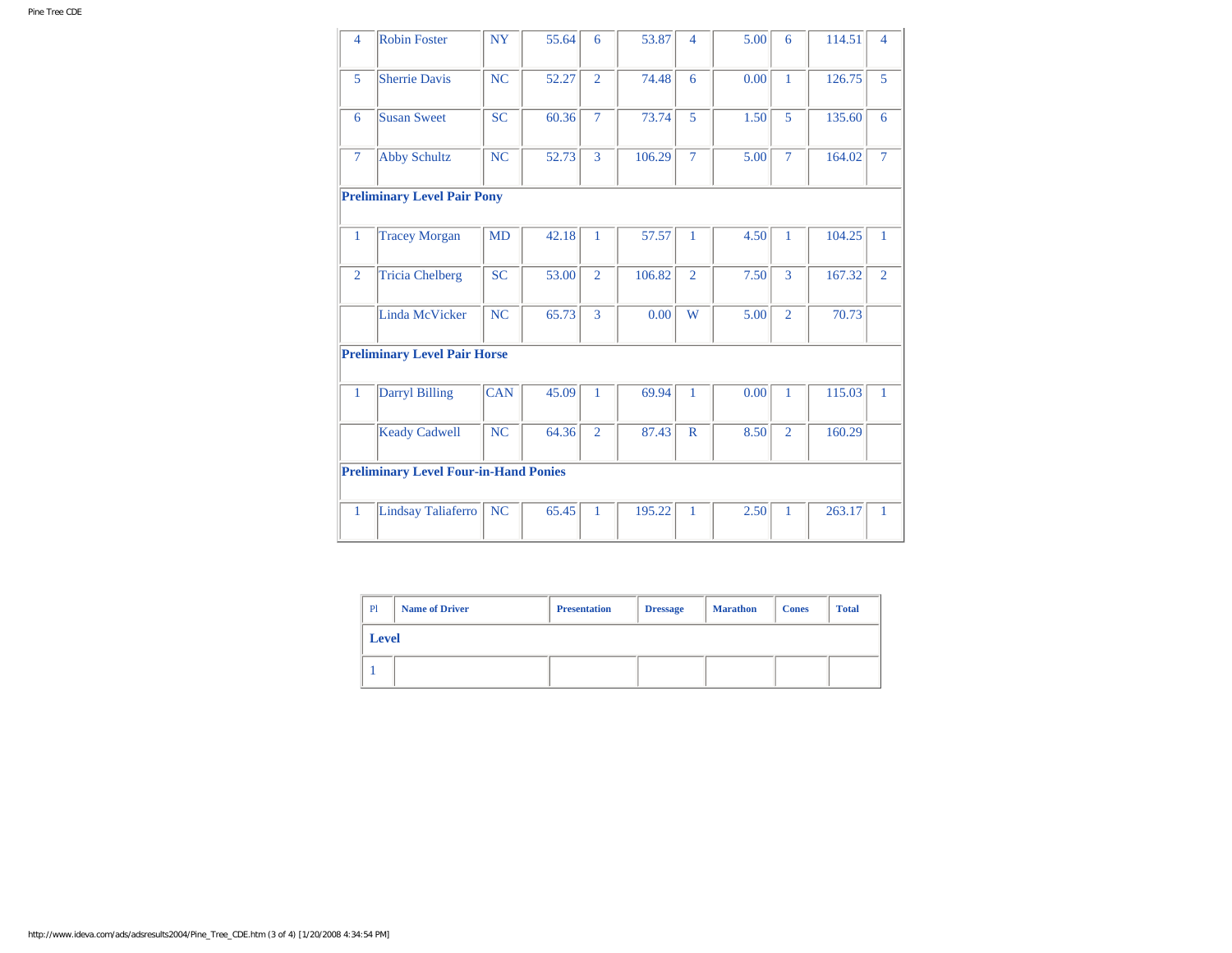| $\overline{4}$ | Robin Foster                                 | <b>NY</b>      | 55.64 | 6              | 53.87  | $\overline{4}$ | 5.00 | 6              | 114.51 | 4              |
|----------------|----------------------------------------------|----------------|-------|----------------|--------|----------------|------|----------------|--------|----------------|
| 5              | <b>Sherrie Davis</b>                         | N <sub>C</sub> | 52.27 | $\overline{2}$ | 74.48  | 6              | 0.00 | $\mathbf{1}$   | 126.75 | 5              |
| 6              | <b>Susan Sweet</b>                           | <b>SC</b>      | 60.36 | $\overline{7}$ | 73.74  | 5              | 1.50 | 5              | 135.60 | 6              |
| $\overline{7}$ | <b>Abby Schultz</b>                          | NC             | 52.73 | $\overline{3}$ | 106.29 | $\overline{7}$ | 5.00 | $\overline{7}$ | 164.02 | $\overline{7}$ |
|                | <b>Preliminary Level Pair Pony</b>           |                |       |                |        |                |      |                |        |                |
| 1              | <b>Tracey Morgan</b>                         | <b>MD</b>      | 42.18 | $\mathbf{1}$   | 57.57  | $\mathbf{1}$   | 4.50 | $\mathbf{1}$   | 104.25 | $\mathbf{1}$   |
| $\overline{2}$ | <b>Tricia Chelberg</b>                       | <b>SC</b>      | 53.00 | $\overline{2}$ | 106.82 | $\overline{2}$ | 7.50 | 3              | 167.32 | $\overline{2}$ |
|                | Linda McVicker                               | <b>NC</b>      | 65.73 | 3              | 0.00   | W              | 5.00 | $\overline{2}$ | 70.73  |                |
|                | <b>Preliminary Level Pair Horse</b>          |                |       |                |        |                |      |                |        |                |
| $\mathbf{1}$   | <b>Darryl Billing</b>                        | <b>CAN</b>     | 45.09 | $\mathbf{1}$   | 69.94  | $\mathbf{1}$   | 0.00 | $\mathbf{1}$   | 115.03 | $\mathbf{1}$   |
|                | <b>Keady Cadwell</b>                         | <b>NC</b>      | 64.36 | $\overline{2}$ | 87.43  | $\mathbb{R}$   | 8.50 | $\overline{2}$ | 160.29 |                |
|                | <b>Preliminary Level Four-in-Hand Ponies</b> |                |       |                |        |                |      |                |        |                |
| 1              | Lindsay Taliaferro                           | <b>NC</b>      | 65.45 | $\mathbf{1}$   | 195.22 | 1              | 2.50 | $\mathbf{1}$   | 263.17 | 1              |

| P1 | <b>Name of Driver</b> | <b>Presentation</b> | <b>Marathon</b><br><b>Dressage</b> |  | <b>Cones</b> | <b>Total</b> |  |
|----|-----------------------|---------------------|------------------------------------|--|--------------|--------------|--|
|    | <b>Level</b>          |                     |                                    |  |              |              |  |
|    |                       |                     |                                    |  |              |              |  |